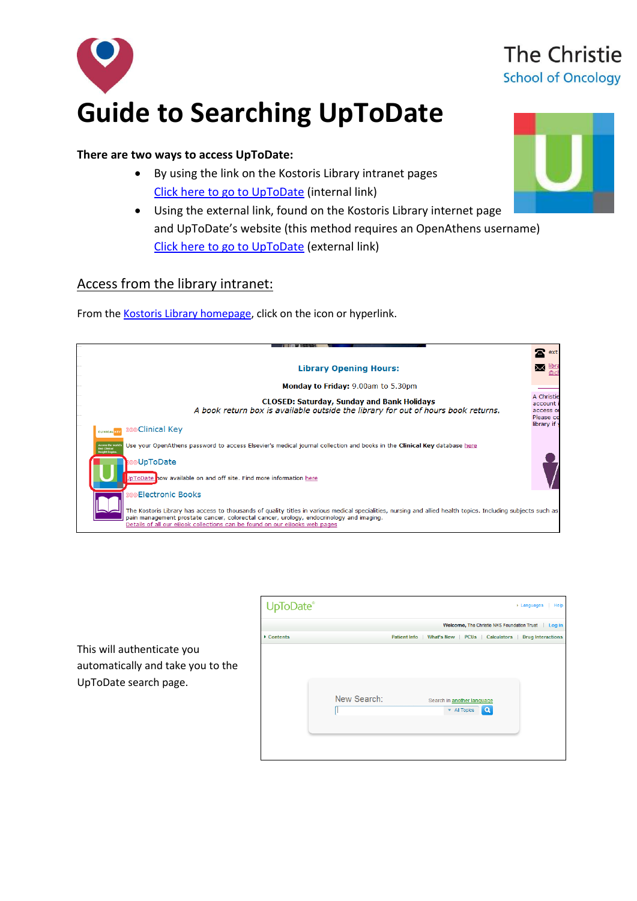

#### **There are two ways to access UpToDate:**

- By using the link on the Kostoris Library intranet pages [Click here to go to UpToDate](http://discover/departments/library/goto_UpToDate.asp) (internal link)
- Using the external link, found on the Kostoris Library internet page and UpToDate's website (this method requires an OpenAthens username) [Click here to go to UpToDate](https://www.uptodate.com/athens.jsp) (external link)

### Access from the library intranet:

From th[e Kostoris Library homepage,](http://discover/departments/library/) click on the icon or hyperlink.

|                                                                                                                                                                                                                                                                                                                                      | 本<br>ext                                        |
|--------------------------------------------------------------------------------------------------------------------------------------------------------------------------------------------------------------------------------------------------------------------------------------------------------------------------------------|-------------------------------------------------|
| <b>Library Opening Hours:</b>                                                                                                                                                                                                                                                                                                        |                                                 |
| <b>Monday to Friday: 9.00am to 5.30pm</b>                                                                                                                                                                                                                                                                                            |                                                 |
| <b>CLOSED: Saturday, Sunday and Bank Holidays</b><br>A book return box is available outside the library for out of hours book returns.                                                                                                                                                                                               | A Christie<br>account<br>access or<br>Please co |
| CLINICAL KEY 2009 Clinical Key                                                                                                                                                                                                                                                                                                       | library if                                      |
| Use your OpenAthens password to access Elsevier's medical journal collection and books in the Clinical Key database here<br>Lecous the world's<br><b>first Clinical</b><br>sight Engin                                                                                                                                               |                                                 |
| <b>UpToDate</b>                                                                                                                                                                                                                                                                                                                      |                                                 |
| JpToDate now available on and off site. Find more information here                                                                                                                                                                                                                                                                   |                                                 |
| <b><i>S</i></b> Electronic Books                                                                                                                                                                                                                                                                                                     |                                                 |
| The Kostoris Library has access to thousands of quality titles in various medical specialities, nursing and allied health topics. Including subjects such as<br>pain management prostate cancer, colorectal cancer, urology, endocrinology and imaging.<br>Details of all our eBook collections can be found on our eBooks web pages |                                                 |

|                                                                                          | UpToDate®  |             |                     |                                                                            | Help<br>$\triangleright$ Languages |
|------------------------------------------------------------------------------------------|------------|-------------|---------------------|----------------------------------------------------------------------------|------------------------------------|
|                                                                                          |            |             |                     | Welcome, The Christie NHS Foundation Trust                                 | Log in                             |
|                                                                                          | ▸ Contents |             | <b>Patient Info</b> | What's New PCUs Calculators                                                | <b>Drug Interactions</b>           |
| This will authenticate you<br>automatically and take you to the<br>UpToDate search page. |            |             |                     |                                                                            |                                    |
|                                                                                          |            | New Search: |                     | Search in another language<br>$\alpha$<br>$\blacktriangleright$ All Topics |                                    |



# The Christie **School of Oncology**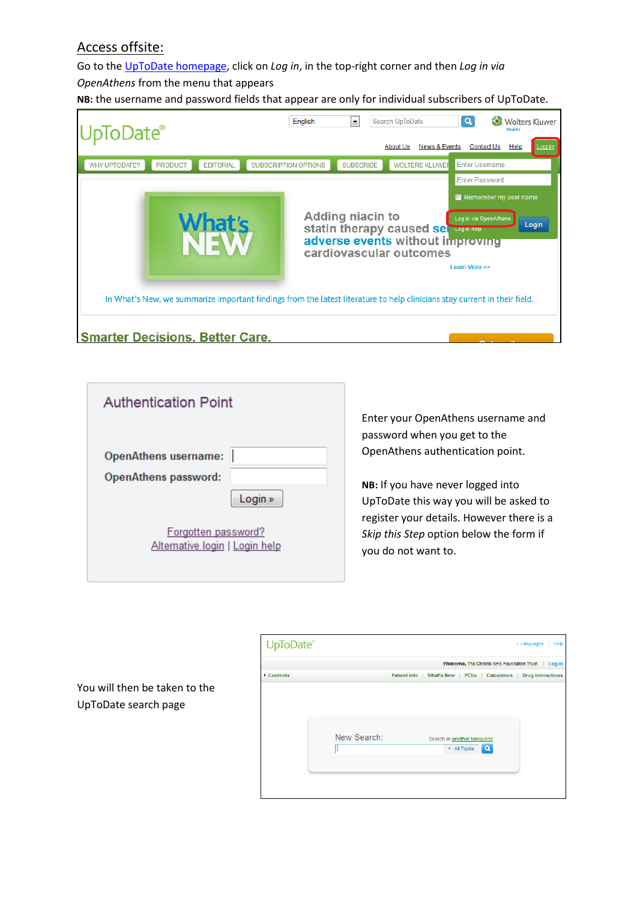## Access offsite:

Go to th[e UpToDate homepage,](http://www.uptodate.com/home) click on *Log in*, in the top-right corner and then *Log in via OpenAthens* from the menu that appears

**NB:** the username and password fields that appear are only for individual subscribers of UpToDate.



| <b>Authentication Point</b>                                    |  |  |  |  |  |  |
|----------------------------------------------------------------|--|--|--|--|--|--|
| <b>OpenAthens username:</b><br>OpenAthens password:<br>Login » |  |  |  |  |  |  |
| Forgotten password?<br>Alternative login   Login help          |  |  |  |  |  |  |

Enter your OpenAthens username and password when you get to the OpenAthens authentication point.

**NB:** If you have never logged into UpToDate this way you will be asked to register your details. However there is a *Skip this Step* option below the form if you do not want to.

You will then be taken to the UpToDate search page

| UpToDate®  |             | ▶ Languages<br>Help                                                            |
|------------|-------------|--------------------------------------------------------------------------------|
|            |             | Welcome, The Christie NHS Foundation Trust   Log in                            |
| ▶ Contents |             | What's New PCUs Calculators<br><b>Drug Interactions</b><br><b>Patient Info</b> |
|            | New Search: | Search in another language<br>Q<br>▼ All Topics                                |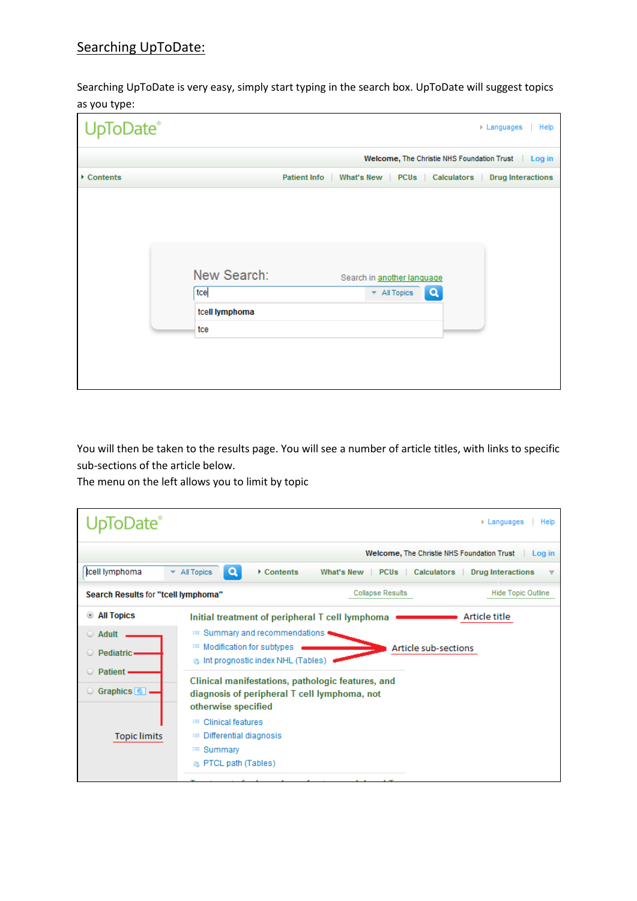## Searching UpToDate:

Searching UpToDate is very easy, simply start typing in the search box. UpToDate will suggest topics as you type:

| UpToDate®  |                |                     |  |                                  |                                            | ▶ Languages<br>Help      |
|------------|----------------|---------------------|--|----------------------------------|--------------------------------------------|--------------------------|
|            |                |                     |  |                                  | Welcome, The Christie NHS Foundation Trust | Log in                   |
| ▶ Contents |                | <b>Patient Info</b> |  |                                  | What's New   PCUs   Calculators            | <b>Drug Interactions</b> |
|            |                |                     |  |                                  |                                            |                          |
|            |                |                     |  |                                  |                                            |                          |
|            |                |                     |  |                                  |                                            |                          |
|            | New Search:    |                     |  | Search in another language       |                                            |                          |
|            | tce            |                     |  | $\blacktriangleright$ All Topics | Q                                          |                          |
|            | tcell lymphoma |                     |  |                                  |                                            |                          |
|            | tce            |                     |  |                                  |                                            |                          |
|            |                |                     |  |                                  |                                            |                          |
|            |                |                     |  |                                  |                                            |                          |
|            |                |                     |  |                                  |                                            |                          |

You will then be taken to the results page. You will see a number of article titles, with links to specific sub-sections of the article below.

The menu on the left allows you to limit by topic

| ›Date`<br>$\triangleright$ Languages<br>Help                                                                                              |                                                                                                                                                   |                                                                                                                              |                                                                                                                                                      |                                                      |  |  |
|-------------------------------------------------------------------------------------------------------------------------------------------|---------------------------------------------------------------------------------------------------------------------------------------------------|------------------------------------------------------------------------------------------------------------------------------|------------------------------------------------------------------------------------------------------------------------------------------------------|------------------------------------------------------|--|--|
|                                                                                                                                           |                                                                                                                                                   |                                                                                                                              |                                                                                                                                                      | Welcome, The Christie NHS Foundation Trust<br>Log in |  |  |
| tcell lymphoma                                                                                                                            | Q<br>▼ All Topics                                                                                                                                 | Contents                                                                                                                     | What's New<br>PCU <sub>s</sub>                                                                                                                       | Calculators<br><b>Drug Interactions</b><br>v         |  |  |
| Search Results for "tcell lymphoma"                                                                                                       |                                                                                                                                                   |                                                                                                                              | <b>Collapse Results</b>                                                                                                                              | <b>Hide Topic Outline</b>                            |  |  |
| <b>All Topics</b><br>$\circledast$<br>Adult<br>$\circ$<br>Pediatric-<br><b>Patient</b><br>Graphics <sup>[11]</sup><br><b>Topic limits</b> | otherwise specified<br><b>Clinical features</b><br>這<br><b>EXECUTE:</b> Differential diagnosis<br>$\equiv$ Summary<br><b>B</b> PTCL path (Tables) | $\equiv$ Summary and recommendations<br><sup>■</sup> Modification for subtypes<br><b>B</b> Int prognostic index NHL (Tables) | Initial treatment of peripheral T cell lymphoma<br>Clinical manifestations, pathologic features, and<br>diagnosis of peripheral T cell lymphoma, not | Article title<br>Article sub-sections                |  |  |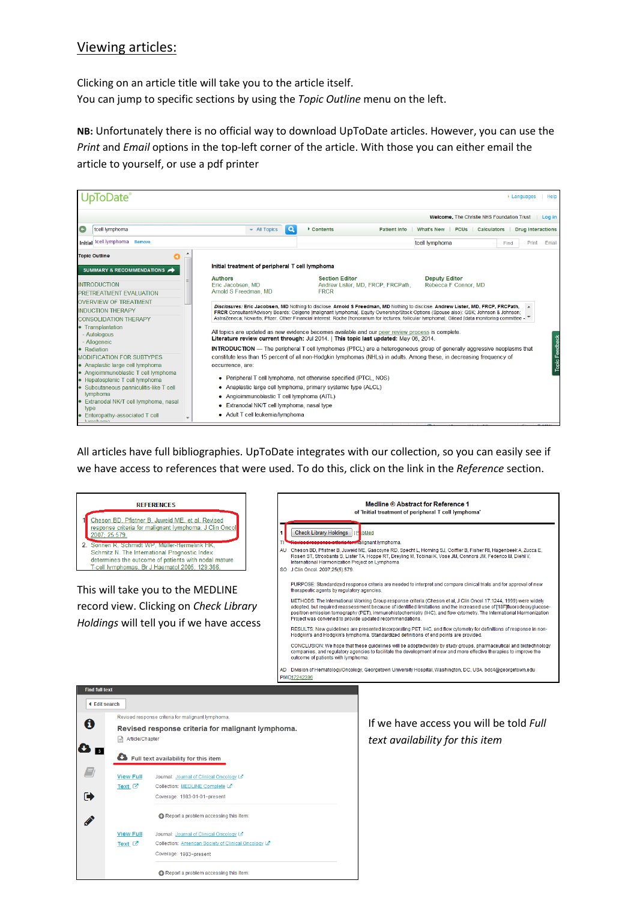### Viewing articles:

Clicking on an article title will take you to the article itself. You can jump to specific sections by using the *Topic Outline* menu on the left.

**NB:** Unfortunately there is no official way to download UpToDate articles. However, you can use the *Print* and *Email* options in the top-left corner of the article. With those you can either email the article to yourself, or use a pdf printer



All articles have full bibliographies. UpToDate integrates with our collection, so you can easily see if we have access to references that were used. To do this, click on the link in the *Reference* section.